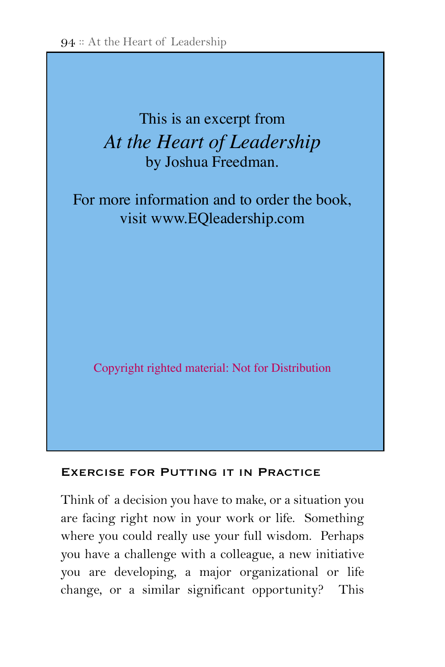# **EXECUTE:** This is an excerpt from At the Heart of Leadership by Joshua Freedman. be defensive, back off, challenge my own

For more information and to order the book, visit www.EQleadership.com

Copyright righted material: Not for Distribution how the three pursuits and eight competencies work in

#### Exercise for Putting it in Practice

Think of a decision you have to make, or a situation you are facing right now in your work or life. Something where you could really use your full wisdom. Perhaps you have a challenge with a colleague, a new initiative you are developing, a major organizational or life change, or a similar significant opportunity? This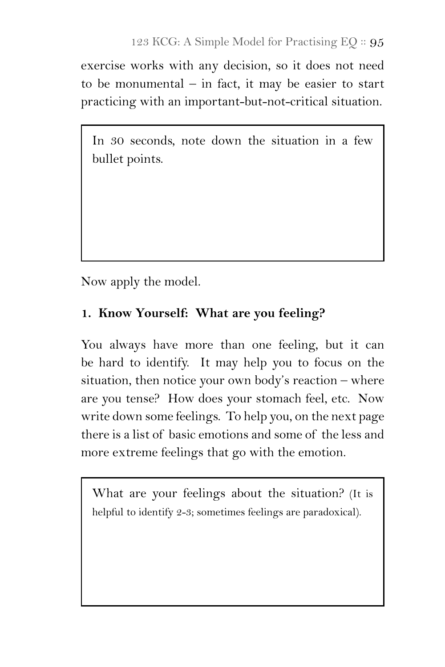exercise works with any decision, so it does not need to be monumental  $-$  in fact, it may be easier to start practicing with an important-but-not-critical situation.

In 30 seconds, note down the situation in a few bullet points.

Now apply the model.

### **1. Know Yourself: What are you feeling?**

You always have more than one feeling, but it can be hard to identify. It may help you to focus on the situation, then notice your own body's reaction – where are you tense? How does your stomach feel, etc. Now write down some feelings. To help you, on the next page there is a list of basic emotions and some of the less and more extreme feelings that go with the emotion.

What are your feelings about the situation? (It is helpful to identify 2-3; sometimes feelings are paradoxical).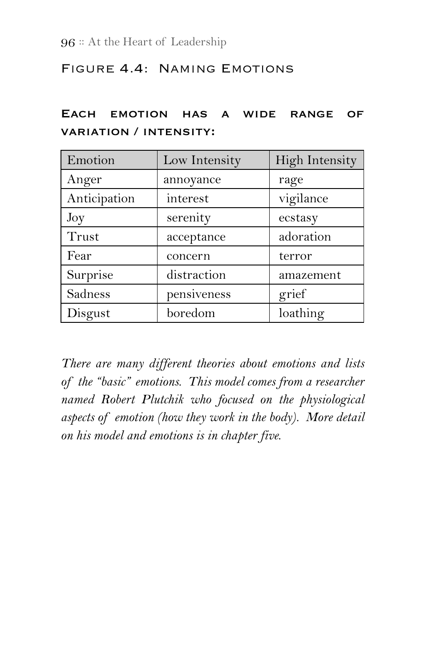### Figure 4.4: Naming Emotions

|                               | EACH EMOTION HAS A WIDE RANGE OF |  |  |  |  |  |  |
|-------------------------------|----------------------------------|--|--|--|--|--|--|
| <b>VARIATION / INTENSITY:</b> |                                  |  |  |  |  |  |  |

| Emotion      | Low Intensity | High Intensity |
|--------------|---------------|----------------|
| Anger        | annoyance     | rage           |
| Anticipation | interest      | vigilance      |
| Joy          | serenity      | ecstasy        |
| Trust        | acceptance    | adoration      |
| Fear         | concern       | terror         |
| Surprise     | distraction   | amazement      |
| Sadness      | pensiveness   | grief          |
| Disgust      | boredom       | loathing       |

*There are many different theories about emotions and lists of the "basic" emotions. This model comes from a researcher named Robert Plutchik who focused on the physiological aspects of emotion (how they work in the body). More detail on his model and emotions is in chapter five.*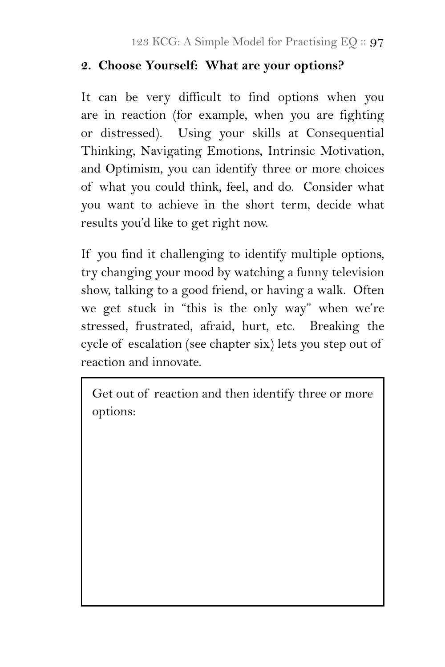### **2. Choose Yourself: What are your options?**

It can be very difficult to find options when you are in reaction (for example, when you are fighting or distressed). Using your skills at Consequential Thinking, Navigating Emotions, Intrinsic Motivation, and Optimism, you can identify three or more choices of what you could think, feel, and do. Consider what you want to achieve in the short term, decide what results you'd like to get right now.

If you find it challenging to identify multiple options, try changing your mood by watching a funny television show, talking to a good friend, or having a walk. Often we get stuck in "this is the only way" when we're stressed, frustrated, afraid, hurt, etc. Breaking the cycle of escalation (see chapter six) lets you step out of reaction and innovate.

Get out of reaction and then identify three or more options: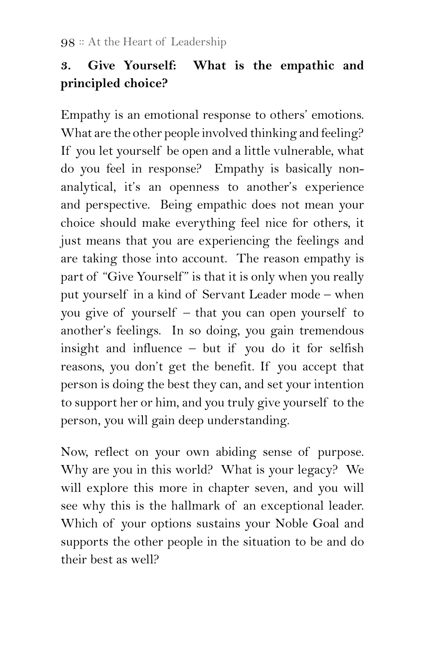## **3. Give Yourself: What is the empathic and principled choice?**

Empathy is an emotional response to others' emotions. What are the other people involved thinking and feeling? If you let yourself be open and a little vulnerable, what do you feel in response? Empathy is basically nonanalytical, it's an openness to another's experience and perspective. Being empathic does not mean your choice should make everything feel nice for others, it just means that you are experiencing the feelings and are taking those into account. The reason empathy is part of "Give Yourself" is that it is only when you really put yourself in a kind of Servant Leader mode – when you give of yourself – that you can open yourself to another's feelings. In so doing, you gain tremendous insight and influence – but if you do it for selfish reasons, you don't get the benefit. If you accept that person is doing the best they can, and set your intention to support her or him, and you truly give yourself to the person, you will gain deep understanding.

Now, reflect on your own abiding sense of purpose. Why are you in this world? What is your legacy? We will explore this more in chapter seven, and you will see why this is the hallmark of an exceptional leader. Which of your options sustains your Noble Goal and supports the other people in the situation to be and do their best as well?